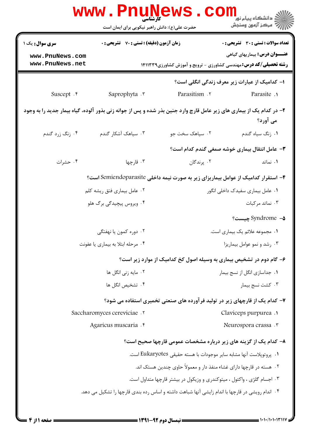|                                                                                                                                  | WWW.PILLING<br>حضرت علی(ع): دانش راهبر نیکویی برای ایمان است                                     |                              | <mark>ڪ دانشڪاه پيام نور</mark><br>ب <sup>ہ</sup> مرڪز آزمون وسنجش                                               |  |  |
|----------------------------------------------------------------------------------------------------------------------------------|--------------------------------------------------------------------------------------------------|------------------------------|------------------------------------------------------------------------------------------------------------------|--|--|
| <b>سری سوال :</b> یک ۱                                                                                                           | <b>زمان آزمون (دقیقه) : تستی : 70 ٪ تشریحی : 0</b>                                               |                              | تعداد سوالات : تستى : 30 - تشريحي : 0                                                                            |  |  |
| www.PnuNews.com<br>www.PnuNews.net                                                                                               |                                                                                                  |                              | <b>عنـــوان درس:</b> بیماریهای گیاهی<br><b>رشته تحصیلی/کد درس:</b> مهندسی کشاورزی - ترویج و آموزش کشاورزی1۴۱۱۳۳۹ |  |  |
| ا– کدامیک از عبارات زیر معرف زندگی انگلی است؟                                                                                    |                                                                                                  |                              |                                                                                                                  |  |  |
| Suscept . r                                                                                                                      | Saprophyta .                                                                                     | Parasitism . ٢               | Parasite .                                                                                                       |  |  |
| ۲- در کدام یک از بیماری های زیر عامل قارچ وارد جنین بذر شده و پس از جوانه زنی بذور آلوده، گیاه بیمار جدید را به وجود<br>می آورد؟ |                                                                                                  |                              |                                                                                                                  |  |  |
| ۰۴ زنگ زرد گندم                                                                                                                  | ۰۳ سیاهک آشکار گندم                                                                              | ۰۲ سیاهک سخت جو              | ۰۱ زنگ سیاه گندم                                                                                                 |  |  |
|                                                                                                                                  |                                                                                                  |                              | ۳– عامل انتقال بیماری خوشه صمغی گندم کدام است؟                                                                   |  |  |
| ۰۴ حشرات                                                                                                                         | ۰۳ قارچها                                                                                        | ۰۲ پرندگان                   | ۰۱ نماتد                                                                                                         |  |  |
|                                                                                                                                  |                                                                                                  |                              | ۴- استقرار کدامیک از عوامل بیماریزای زیر به صورت نیمه داخلی Semiendoparasite است؟                                |  |  |
| ۰۲ عامل بیماری فتق ریشه کلم<br>۰۱ عامل بیماری سفیدک داخلی انگور                                                                  |                                                                                                  |                              |                                                                                                                  |  |  |
| ۰۴ ویروس پیچیدگی برگ هلو                                                                                                         |                                                                                                  |                              | ۰۳ نماتد مرکبات                                                                                                  |  |  |
|                                                                                                                                  |                                                                                                  |                              | Syndrome - <b>۵</b> چیست؟                                                                                        |  |  |
|                                                                                                                                  | ۰۲ دوره کمون یا نهفتگی                                                                           |                              | ٠١ مجموعه علائم يک بيماري است.                                                                                   |  |  |
| ۰۴ مرحله ابتلا به بیماری یا عفونت                                                                                                |                                                                                                  | ۰۳ رشد و نمو عوامل بيماريزا  |                                                                                                                  |  |  |
|                                                                                                                                  |                                                                                                  |                              | ۶- گام دوم در تشخیص بیماری به وسیله اصول کخ کدامیک از موارد زیر است؟                                             |  |  |
| ۰۲ مایه زنی انگل ها                                                                                                              |                                                                                                  | ۰۱ جداسازی انگل از نسج بیمار |                                                                                                                  |  |  |
| ۰۴ تشخیص انگل ها                                                                                                                 |                                                                                                  | ۰۳ کشت نسج بیمار             |                                                                                                                  |  |  |
|                                                                                                                                  |                                                                                                  |                              | ۷– کدام یک از قارچهای زیر در تولید فرآورده های صنعتی تخمیری استفاده می شود؟                                      |  |  |
|                                                                                                                                  | Saccharomyces cereviciae .v                                                                      |                              | Claviceps purpurea .                                                                                             |  |  |
|                                                                                                                                  | Agaricus muscaria . e                                                                            |                              | Neurospora crassa . ٣                                                                                            |  |  |
|                                                                                                                                  |                                                                                                  |                              | ۸– کدام یک از گزینه های زیر درباره مشخصات عمومی قارچها صحیح است؟                                                 |  |  |
|                                                                                                                                  | ٠١. يروتويلاست آنها مشابه ساير موجودات با هسته حقيقي Eukaryotes است.                             |                              |                                                                                                                  |  |  |
| ۰۲ هسته در قارچها دارای غشاء منفذ دار و معمولاً حاوی چندین هستک اند.                                                             |                                                                                                  |                              |                                                                                                                  |  |  |
| ۰۳ اجسام گلژی ، واکئول ، میتوکندری و وزیکول در بیشتر قارچها متداول است.                                                          |                                                                                                  |                              |                                                                                                                  |  |  |
|                                                                                                                                  | ۰۴ اندام رویشی در قارچها با اندام زایشی آنها شباهت داشته و اساس رده بندی قارچها را تشکیل می دهد. |                              |                                                                                                                  |  |  |
|                                                                                                                                  |                                                                                                  |                              |                                                                                                                  |  |  |

 $= 1.1 \cdot 11.1 \cdot 11.11$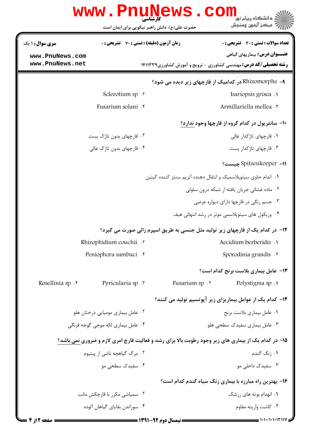|                                   | www.PnuNews                                        |                                                                  | تي دانشگاه پيام نور<br>* سڪنگ                                                                       |
|-----------------------------------|----------------------------------------------------|------------------------------------------------------------------|-----------------------------------------------------------------------------------------------------|
|                                   | حضرت علی(ع): دانش راهبر نیکویی برای ایمان است      |                                                                  | " مرڪز آزمون وسنڊش                                                                                  |
| <b>سری سوال : ۱ یک</b>            | <b>زمان آزمون (دقیقه) : تستی : 70 ٪ تشریحی : 0</b> |                                                                  | <b>تعداد سوالات : تستی : 30 ٪ تشریحی : 0</b>                                                        |
| www.PnuNews.com                   |                                                    |                                                                  | <b>عنـــوان درس:</b> بیماریهای گیاهی                                                                |
| www.PnuNews.net                   |                                                    |                                                                  | <b>رشته تحصیلی/کد درس:</b> مهندسی کشاورزی - ترویج و آموزش کشاورزی1411339                            |
|                                   |                                                    |                                                                  | ۹- Rhizomorphe در کدامیک از قارچهای زیر دیده می شود؟                                                |
|                                   | Sclerotium sp . ٢                                  |                                                                  | Isariopsis grisea.                                                                                  |
|                                   | Fusarium solani . r                                |                                                                  | Armillariella mellea .r                                                                             |
|                                   |                                                    |                                                                  | ۱۰- سانتریول در کدام گروه از قارچها وجود ندارد؟                                                     |
|                                   | ۰۲ قارچهای بدون تاژک پست                           |                                                                  | ۰۱ قارچهای تاژکدار عالی                                                                             |
|                                   | ۰۴ قارچهای بدون تاژک عالی                          |                                                                  | ۰۳ قارچهای تاژکدار پست                                                                              |
|                                   |                                                    |                                                                  | Spitzeukorper –11 چیست؟                                                                             |
|                                   |                                                    | ٠١. اندام حاوى سيتوپلاسميک و انتقال دهنده آنزيم سنتز كننده كيتين |                                                                                                     |
|                                   |                                                    |                                                                  | ۰۲ ماده غشائی جریان یافته از شبکه درون سلولی                                                        |
|                                   |                                                    |                                                                  | ۰۳ جسم رنگی در قارچها دارای دیواره عرضی                                                             |
|                                   |                                                    |                                                                  | ۰۴ وزیکول های سیتوپلاسمی موثر در رشد انتهائی هیف                                                    |
|                                   |                                                    |                                                                  | <b>۱۲</b> - در کدام یک از قارچهای زیر تولید مثل جنسی به طریق اسپرم زائی صورت می گیرد؟               |
|                                   | Rhizophidium couchii .                             |                                                                  | Aecidium berberidis .                                                                               |
| Peniophora sambuci . <sup>*</sup> |                                                    | Sporodinia grandis .                                             |                                                                                                     |
|                                   |                                                    |                                                                  | 1۳- عامل بیماری بلاست برنج کدام است؟                                                                |
| Rosellinia sp . r                 | Pyricularia sp .                                   | Fusarium sp . ٢                                                  | Polystigma sp.1                                                                                     |
|                                   |                                                    |                                                                  | ۱۴– کدام یک از عوامل بیماریزای زیر آپوتسیم تولید می کنند؟                                           |
|                                   | ۰۲ عامل بیماری مومیایی درختان هلو                  | ۰۱ عامل بیماری بلاست برنج                                        |                                                                                                     |
|                                   | ۰۴ عامل بیماری لکه موجی گوجه فرنگی                 | ۰۳ عامل بیماری سفیدک سطحی هلو                                    |                                                                                                     |
|                                   |                                                    |                                                                  | ۱۵- در کدام یک از بیماری های زیر وجود رطوبت بالا برای رشد و فعالیت قارچ امری لازم و ضروری نمی باشد؟ |
|                                   | ۲. مرگ گیاهچه ناشی از پیتیوم                       |                                                                  | ۰۱ ;نگ گندم                                                                                         |
|                                   | ۰۴ سفیدک سطحی مو                                   |                                                                  | ۰۳ سفیدک داخلے مو                                                                                   |
|                                   |                                                    |                                                                  | ۱۶- بهترین راه مبارزه با بیماری زنگ سیاه گندم کدام است؟                                             |
| ۰۲ سمیاشی مکرر با قارچکش مانب     |                                                    | ۰۱ انهدام بوته های زرشک                                          |                                                                                                     |
|                                   | ۰۴ سوزاندن بقایای گیاهان آلوده                     |                                                                  | ۰۳ کاشت واریته مقاوم                                                                                |
|                                   |                                                    |                                                                  |                                                                                                     |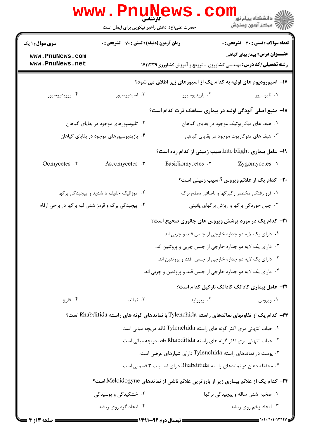|                                                                                       | <b>www.PnuNews</b><br>حضرت علی(ع): دانش راهبر نیکویی برای ایمان است |                                                                                              | ڪ دانشڪاه پيا <sub>م</sub> نور<br><mark>√</mark> مرڪز آزمون وسنڊش                                                |  |
|---------------------------------------------------------------------------------------|---------------------------------------------------------------------|----------------------------------------------------------------------------------------------|------------------------------------------------------------------------------------------------------------------|--|
| <b>سری سوال : ۱ یک</b>                                                                | زمان آزمون (دقیقه) : تستی : 70 ٪ تشریحی : 0                         |                                                                                              | <b>تعداد سوالات : تستی : 30 ٪ تشریحی : 0</b>                                                                     |  |
| www.PnuNews.com<br>www.PnuNews.net                                                    |                                                                     |                                                                                              | <b>عنـــوان درس:</b> بیماریهای گیاهی<br><b>رشته تحصیلی/کد درس:</b> مهندسی کشاورزی - ترویج و آموزش کشاورزی1۴۱۱۳۳۹ |  |
| ۱۷- اسپورودیوم های اولیه به کدام یک از اسپورهای زیر اطلاق می شود؟                     |                                                                     |                                                                                              |                                                                                                                  |  |
| ۰۴ يوريديوسپور                                                                        | ۰۳ اسیدیوسپور                                                       | ۰۲ بازیدیوسپور                                                                               | ۰۱ تليوسپور                                                                                                      |  |
|                                                                                       |                                                                     | ۱۸- منبع اصلی آلودگی اولیه در بیماری سیاهک ذرت کدام است؟                                     |                                                                                                                  |  |
| ۰۲ تلیوسپورهای موجود در بقایای گیاهان<br>۰۱ هیف های دیکاریوتیک موجود در بقایای گیاهان |                                                                     |                                                                                              |                                                                                                                  |  |
|                                                                                       | ۰۴ بازیدیوسپورهای موجود در بقایای گیاهان                            |                                                                                              | ۰۳ هیف های منوکاریوت موجود در بقایای گیاهی                                                                       |  |
|                                                                                       |                                                                     | 19- عامل بیماری Late blight سیب زمینی از کدام رده است؟                                       |                                                                                                                  |  |
| Oomycetes . F                                                                         | Ascomycetes . ٣                                                     | Basidiomycetes .                                                                             | Zygomycetes .                                                                                                    |  |
|                                                                                       |                                                                     |                                                                                              | <b>۲۰</b> - کدام یک از علائم ویروس S سیب زمینی است؟                                                              |  |
|                                                                                       | ۰۲ موزائیک خفیف تا شدید و پیچیدگی برگها                             |                                                                                              | ۰۱ فرو رفتگی مختصر رگبرگها و ناصافی سطح برگ                                                                      |  |
| ۰۴ پیچیدگی برگ و قرمز شدن لبه برگها در برخی ارقام                                     |                                                                     |                                                                                              | ۰۳ چین خوردگی برگها و ریزش برگهای پائینی                                                                         |  |
|                                                                                       |                                                                     | <b>۲۱</b> - کدام یک در مورد پوشش ویروس های جانوری صحیح است؟                                  |                                                                                                                  |  |
|                                                                                       |                                                                     | ۰۱ دارای یک لایه دو جداره خارجی از جنس قند و چربی اند.                                       |                                                                                                                  |  |
|                                                                                       |                                                                     | ۰۲ دارای یک لایه دو جداره خارجی از جنس چربی و پروتئین اند.                                   |                                                                                                                  |  |
|                                                                                       |                                                                     | ۰۳ دارای یک لایه دو جداره خارجی از جنس قند و پروتئین اند.                                    |                                                                                                                  |  |
|                                                                                       |                                                                     | ۰۴ دارای یک لایه دو جداره خارجی از جنس قند و پروتئین و چربی اند.                             |                                                                                                                  |  |
|                                                                                       |                                                                     |                                                                                              | ٢٢- عامل بیماری کادانگ کادانگ نارگیل کدام است؟                                                                   |  |
| ۰۴ قارچ                                                                               | ۰۳ نماتد                                                            | ۰۲ ویروئید                                                                                   | ۰۱ ویروس                                                                                                         |  |
|                                                                                       |                                                                     | ۲۳– کدام یک از تفاوتهای نماتدهای راسته Tylenchida با نماتدهای گونه های راسته Rhabditida است؟ |                                                                                                                  |  |
|                                                                                       |                                                                     | ۱. حباب انتهائی مری اکثر گونه های راسته Tylenchida فاقد دریچه میانی است.                     |                                                                                                                  |  |
|                                                                                       |                                                                     | ۲ . حباب انتهائی مری اکثر گونه های راسته Rhabditida فاقد دریچه میانی است.                    |                                                                                                                  |  |
|                                                                                       |                                                                     | ۰۳ پوست در نماتدهای راسته Tylenchida دارای شیارهای عرضی است.                                 |                                                                                                                  |  |
|                                                                                       |                                                                     | ۰۴ محفظه دهان در نماتدهای راسته Rhabditida دارای استایلت ۳ قسمتی است.                        |                                                                                                                  |  |
|                                                                                       |                                                                     | ۲۴− کدام یک از علائم بیماری زیر از بارزترین علائم ناشی از نماتدهای Meloidogyne است؟          |                                                                                                                  |  |
|                                                                                       | ۲. خشکیدگی و پوسیدگی                                                |                                                                                              | ٠١ ضخيم شدن ساقه و پيچيدگي برگها                                                                                 |  |
|                                                                                       | ۰۴ ایجاد گره روی ریشه                                               |                                                                                              | ۰۳ ایجاد زخم روی ریشه                                                                                            |  |
| صفحه 13 ز 4 =                                                                         |                                                                     | = نیمسال دوم ۹۲-۱۳۹۱ =                                                                       |                                                                                                                  |  |